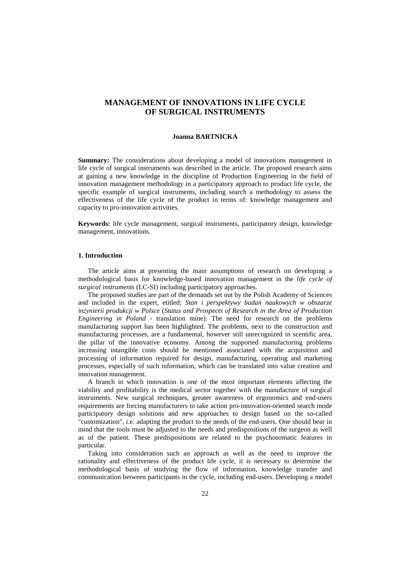# **MANAGEMENT OF INNOVATIONS IN LIFE CYCLE OF SURGICAL INSTRUMENTS**

#### **Joanna BARTNICKA**

**Summary:** The considerations about developing a model of innovations management in life cycle of surgical instruments was described in the article. The proposed research aims at gaining a new knowledge in the discipline of Production Engineering in the field of innovation management methodology in a participatory approach to product life cycle, the specific example of surgical instruments, including search a methodology to assess the effectiveness of the life cycle of the product in terms of: knowledge management and capacity to pro-innovation activities.

**Keywords:** life cycle management, surgical instruments, participatory design, knowledge management, innovations.

# **1. Introduction**

The article aims at presenting the main assumptions of research on developing a methodological basis for knowledge-based innovation management in the *life cycle of surgical instruments* (LC-SI) including participatory approaches.

The proposed studies are part of the demands set out by the Polish Academy of Sciences and included in the expert, etitled: *Stan i perspektywy badań naukowych w obszarze inżynierii produkcji w Polsce* (*Status and Prospects of Research in the Area of Production Engineering in Poland* - translation mine). The need for research on the problems manufacturing support has been highlighted. The problems, next to the construction and manufacturing processes, are a fundamental, however still unrecognized in scentific area, the pillar of the innovative economy. Among the supported manufactoring problems increasing intangible costs should be mentioned associated with the acquisition and processing of information required for design, manufacturing, operating and marketing processes, especially of such information, which can be translated into value creation and innovation management.

A branch in which innovation is one of the most important elements affecting the viability and profitability is the medical sector together with the manufacture of surgical instruments. New surgical techniques, greater awareness of ergonomics and end-users requirements are forcing manufacturers to take action pro-innovation-oriented search mode participatory design solutions and new approaches to design based on the so-called "customization", i.e. adapting the product to the needs of the end-users. One should bear in mind that the tools must be adjusted to the needs and predispositions of the surgeon as well as of the patient. These predispositions are related to the psychosomatic features in particular.

Taking into consideration such an approach as well as the need to improve the rationality and effectiveness of the product life cycle, it is necessary to determine the methodological basis of studying the flow of information, knowledge transfer and communication between participants in the cycle, including end-users. Developing a model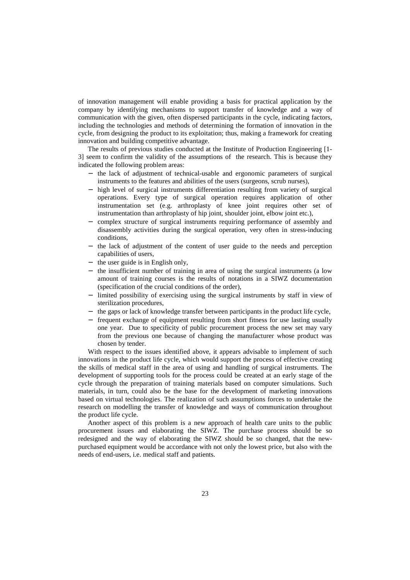of innovation management will enable providing a basis for practical application by the company by identifying mechanisms to support transfer of knowledge and a way of communication with the given, often dispersed participants in the cycle, indicating factors, including the technologies and methods of determining the formation of innovation in the cycle, from designing the product to its exploitation; thus, making a framework for creating innovation and building competitive advantage.

The results of previous studies conducted at the Institute of Production Engineering [1- 3] seem to confirm the validity of the assumptions of the research. This is because they indicated the following problem areas:

- − the lack of adjustment of technical-usable and ergonomic parameters of surgical instruments to the features and abilities of the users (surgeons, scrub nurses),
- − high level of surgical instruments differentiation resulting from variety of surgical operations. Every type of surgical operation requires application of other instrumentation set (e.g. arthroplasty of knee joint requires other set of instrumentation than arthroplasty of hip joint, shoulder joint, elbow joint etc.),
- − complex structure of surgical instruments requiring performance of assembly and disassembly activities during the surgical operation, very often in stress-inducing conditions,
- − the lack of adjustment of the content of user guide to the needs and perception capabilities of users,
- the user guide is in English only,
- the insufficient number of training in area of using the surgical instruments (a low amount of training courses is the results of notations in a SIWZ documentation (specification of the crucial conditions of the order),
- − limited possibility of exercising using the surgical instruments by staff in view of sterilization procedures,
- − the gaps or lack of knowledge transfer between participants in the product life cycle,
- − frequent exchange of equipment resulting from short fitness for use lasting usually one year. Due to specificity of public procurement process the new set may vary from the previous one because of changing the manufacturer whose product was chosen by tender.

With respect to the issues identified above, it appears advisable to implement of such innovations in the product life cycle, which would support the process of effective creating the skills of medical staff in the area of using and handling of surgical instruments. The development of supporting tools for the process could be created at an early stage of the cycle through the preparation of training materials based on computer simulations. Such materials, in turn, could also be the base for the development of marketing innovations based on virtual technologies. The realization of such assumptions forces to undertake the research on modelling the transfer of knowledge and ways of communication throughout the product life cycle.

Another aspect of this problem is a new approach of health care units to the public procurement issues and elaborating the SIWZ. The purchase process should be so redesigned and the way of elaborating the SIWZ should be so changed, that the newpurchased equipment would be accordance with not only the lowest price, but also with the needs of end-users, i.e. medical staff and patients.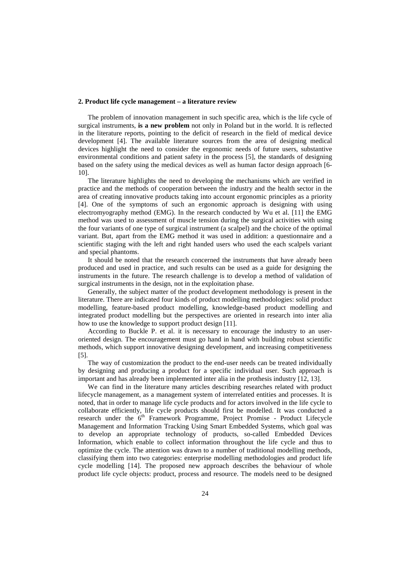#### **2. Product life cycle management – a literature review**

The problem of innovation management in such specific area, which is the life cycle of surgical instruments, **is a new problem** not only in Poland but in the world. It is reflected in the literature reports, pointing to the deficit of research in the field of medical device development [4]. The available literature sources from the area of designing medical devices highlight the need to consider the ergonomic needs of future users, substantive environmental conditions and patient safety in the process [5], the standards of designing based on the safety using the medical devices as well as human factor design approach [6- 10].

The literature highlights the need to developing the mechanisms which are verified in practice and the methods of cooperation between the industry and the health sector in the area of creating innovative products taking into account ergonomic principles as a priority [4]. One of the symptoms of such an ergonomic approach is designing with using electromyography method (EMG). In the research conducted by Wu et al. [11] the EMG method was used to assessment of muscle tension during the surgical activities with using the four variants of one type of surgical instrument (a scalpel) and the choice of the optimal variant. But, apart from the EMG method it was used in addition: a questionnaire and a scientific staging with the left and right handed users who used the each scalpels variant and special phantoms.

It should be noted that the research concerned the instruments that have already been produced and used in practice, and such results can be used as a guide for designing the instruments in the future. The research challenge is to develop a method of validation of surgical instruments in the design, not in the exploitation phase.

Generally, the subject matter of the product development methodology is present in the literature. There are indicated four kinds of product modelling methodologies: solid product modelling, feature-based product modelling, knowledge-based product modelling and integrated product modelling but the perspectives are oriented in research into inter alia how to use the knowledge to support product design [11].

According to Buckle P. et al. it is necessary to encourage the industry to an useroriented design. The encouragement must go hand in hand with building robust scientific methods, which support innovative designing development, and increasing competitiveness [5].

The way of customization the product to the end-user needs can be treated individually by designing and producing a product for a specific individual user. Such approach is important and has already been implemented inter alia in the prothesis industry [12, 13].

We can find in the literature many articles describing researches related with product lifecycle management, as a management system of interrelated entities and processes. It is noted, that in order to manage life cycle products and for actors involved in the life cycle to collaborate efficiently, life cycle products should first be modelled. It was conducted a research under the 6<sup>th</sup> Framework Programme, Project Promise - Product Lifecycle Management and Information Tracking Using Smart Embedded Systems, which goal was to develop an appropriate technology of products, so-called Embedded Devices Information, which enable to collect information throughout the life cycle and thus to optimize the cycle. The attention was drawn to a number of traditional modelling methods, classifying them into two categories: enterprise modelling methodologies and product life cycle modelling [14]. The proposed new approach describes the behaviour of whole product life cycle objects: product, process and resource. The models need to be designed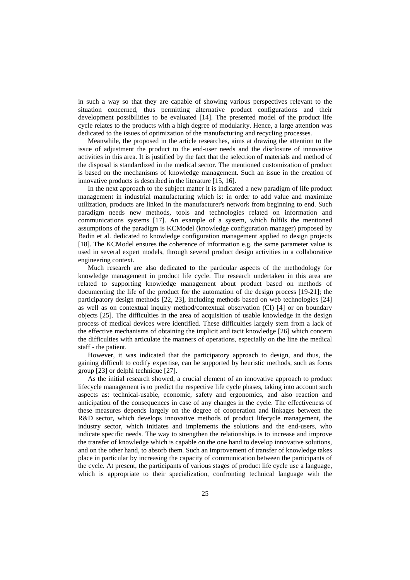in such a way so that they are capable of showing various perspectives relevant to the situation concerned, thus permitting alternative product configurations and their development possibilities to be evaluated [14]. The presented model of the product life cycle relates to the products with a high degree of modularity. Hence, a large attention was dedicated to the issues of optimization of the manufacturing and recycling processes.

Meanwhile, the proposed in the article researches, aims at drawing the attention to the issue of adjustment the product to the end-user needs and the disclosure of innovative activities in this area. It is justified by the fact that the selection of materials and method of the disposal is standardized in the medical sector. The mentioned customization of product is based on the mechanisms of knowledge management. Such an issue in the creation of innovative products is described in the literature [15, 16].

In the next approach to the subject matter it is indicated a new paradigm of life product management in industrial manufacturing which is: in order to add value and maximize utilization, products are linked in the manufacturer's network from beginning to end. Such paradigm needs new methods, tools and technologies related on information and communications systems [17]. An example of a system, which fulfils the mentioned assumptions of the paradigm is KCModel (knowledge configuration manager) proposed by Badin et al. dedicated to knowledge configuration management applied to design projects [18]. The KCModel ensures the coherence of information e.g. the same parameter value is used in several expert models, through several product design activities in a collaborative engineering context.

Much research are also dedicated to the particular aspects of the methodology for knowledge management in product life cycle. The research undertaken in this area are related to supporting knowledge management about product based on methods of documenting the life of the product for the automation of the design process [19-21]; the participatory design methods [22, 23], including methods based on web technologies [24] as well as on contextual inquiry method/contextual observation (CI) [4] or on boundary objects [25]. The difficulties in the area of acquisition of usable knowledge in the design process of medical devices were identified. These difficulties largely stem from a lack of the effective mechanisms of obtaining the implicit and tacit knowledge [26] which concern the difficulties with articulate the manners of operations, especially on the line the medical staff - the patient.

However, it was indicated that the participatory approach to design, and thus, the gaining difficult to codify expertise, can be supported by heuristic methods, such as focus group [23] or delphi technique [27].

As the initial research showed, a crucial element of an innovative approach to product lifecycle management is to predict the respective life cycle phases, taking into account such aspects as: technical-usable, economic, safety and ergonomics, and also reaction and anticipation of the consequences in case of any changes in the cycle. The effectiveness of these measures depends largely on the degree of cooperation and linkages between the R&D sector, which develops innovative methods of product lifecycle management, the industry sector, which initiates and implements the solutions and the end-users, who indicate specific needs. The way to strengthen the relationships is to increase and improve the transfer of knowledge which is capable on the one hand to develop innovative solutions, and on the other hand, to absorb them. Such an improvement of transfer of knowledge takes place in particular by increasing the capacity of communication between the participants of the cycle. At present, the participants of various stages of product life cycle use a language, which is appropriate to their specialization, confronting technical language with the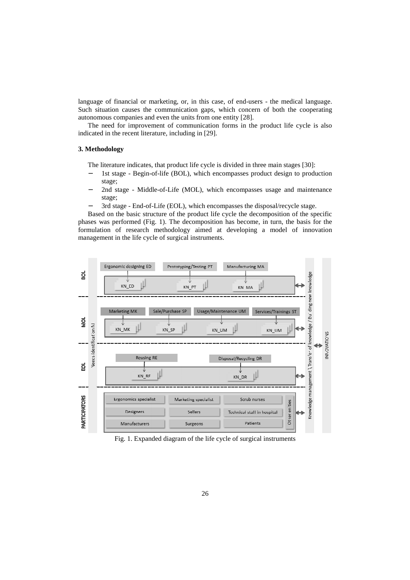language of financial or marketing, or, in this case, of end-users - the medical language. Such situation causes the communication gaps, which concern of both the cooperating autonomous companies and even the units from one entity [28].

The need for improvement of communication forms in the product life cycle is also indicated in the recent literature, including in [29].

# **3. Methodology**

The literature indicates, that product life cycle is divided in three main stages [30]:

- 1st stage Begin-of-life (BOL), which encompasses product design to production stage;
- 2nd stage Middle-of-Life (MOL), which encompasses usage and maintenance stage;
- 3rd stage End-of-Life (EOL), which encompasses the disposal/recycle stage.

Based on the basic structure of the product life cycle the decomposition of the specific phases was performed (Fig. 1). The decomposition has become, in turn, the basis for the formulation of research methodology aimed at developing a model of innovation management in the life cycle of surgical instruments.



Fig. 1. Expanded diagram of the life cycle of surgical instruments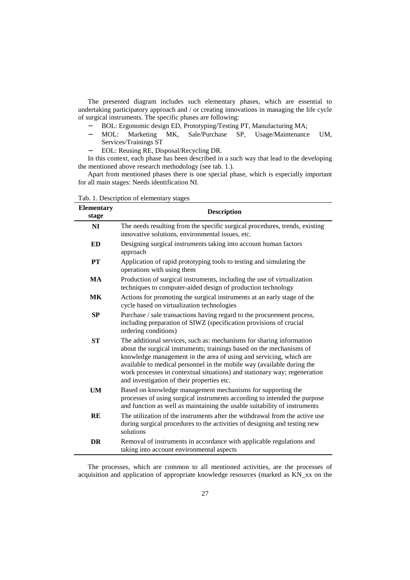The presented diagram includes such elementary phases, which are essential to undertaking participatory approach and / or creating innovations in managing the life cycle of surgical instruments. The specific phases are following:

- 
- − BOL: Ergonomic design ED, Prototyping/Testing PT, Manufacturing MA;<br>- MOL: Marketing MK, Sale/Purchase SP, Usage/Maintenance − MOL: Marketing MK, Sale/Purchase SP, Usage/Maintenance UM, Services/Trainings ST
- − EOL: Reusing RE, Disposal/Recycling DR.

In this context, each phase has been described in a such way that lead to the developing the mentioned above research methodology (see tab. 1.).

Apart from mentioned phases there is one special phase, which is especially important for all main stages: Needs identification NI.

| <b>Elementary</b><br>stage | <b>Description</b>                                                                                                                                                                                                                                                                                                                                                                                                      |  |
|----------------------------|-------------------------------------------------------------------------------------------------------------------------------------------------------------------------------------------------------------------------------------------------------------------------------------------------------------------------------------------------------------------------------------------------------------------------|--|
| NI                         | The needs resulting from the specific surgical procedures, trends, existing<br>innovative solutions, environmental issues, etc.                                                                                                                                                                                                                                                                                         |  |
| ED                         | Designing surgical instruments taking into account human factors<br>approach                                                                                                                                                                                                                                                                                                                                            |  |
| PT                         | Application of rapid prototyping tools to testing and simulating the<br>operations with using them                                                                                                                                                                                                                                                                                                                      |  |
| <b>MA</b>                  | Production of surgical instruments, including the use of virtualization<br>techniques to computer-aided design of production technology                                                                                                                                                                                                                                                                                 |  |
| <b>MK</b>                  | Actions for promoting the surgical instruments at an early stage of the<br>cycle based on virtualization technologies                                                                                                                                                                                                                                                                                                   |  |
| <b>SP</b>                  | Purchase / sale transactions having regard to the procurement process,<br>including preparation of SIWZ (specification provisions of crucial<br>ordering conditions)                                                                                                                                                                                                                                                    |  |
| <b>ST</b>                  | The additional services, such as: mechanisms for sharing information<br>about the surgical instruments; trainings based on the mechanisms of<br>knowledge management in the area of using and servicing, which are<br>available to medical personnel in the mobile way (available during the<br>work processes in contextual situations) and stationary way; regeneration<br>and investigation of their properties etc. |  |
| <b>UM</b>                  | Based on knowledge management mechanisms for supporting the<br>processes of using surgical instruments according to intended the purpose<br>and function as well as maintaining the usable suitability of instruments                                                                                                                                                                                                   |  |
| <b>RE</b>                  | The utilization of the instruments after the withdrawal from the active use<br>during surgical procedures to the activities of designing and testing new<br>solutions                                                                                                                                                                                                                                                   |  |
| DR                         | Removal of instruments in accordance with applicable regulations and<br>taking into account environmental aspects                                                                                                                                                                                                                                                                                                       |  |

Tab. 1. Description of elementary stages

The processes, which are common to all mentioned activities, are the processes of acquisition and application of appropriate knowledge resources (marked as KN\_xx on the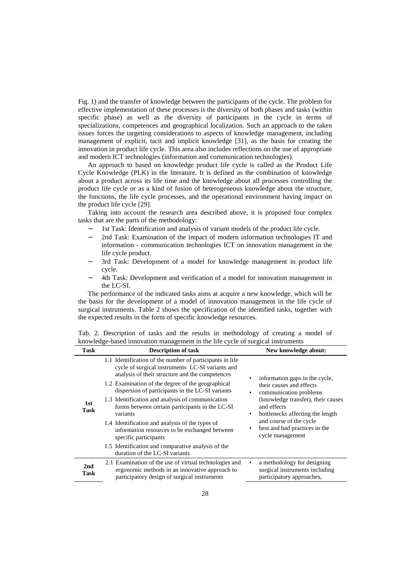Fig. 1) and the transfer of knowledge between the participants of the cycle. The problem for effective implementation of these processes is the diversity of both phases and tasks (within specific phase) as well as the diversity of participants in the cycle in terms of specializations, competences and geographical localization. Such an approach to the taken issues forces the targeting considerations to aspects of knowledge management, including management of explicit, tacit and implicit knowledge [31], as the basis for creating the innovation in product life cycle. This area also includes reflections on the use of appropriate and modern ICT technologies (information and communication technologies).

An approach to based on knowledge product life cycle is called as the Product Life Cycle Knowledge (PLK) in the literature. It is defined as the combination of knowledge about a product across its life time and the knowledge about all processes controlling the product life cycle or as a kind of fusion of heterogeneous knowledge about the structure, the functions, the life cycle processes, and the operational environment having impact on the product life cycle [29].

Taking into account the research area described above, it is proposed four complex tasks that are the parts of the methodology:

- 1st Task: Identification and analysis of variant models of the product life cycle.
- 2nd Task: Examination of the impact of modern information technologies IT and information - communication technologies ICT on innovation management in the life cycle product.
- 3rd Task: Development of a model for knowledge management in product life cycle.
- 4th Task: Development and verification of a model for innovation management in the LC-SI.

The performance of the indicated tasks aims at acquire a new knowledge, which will be the basis for the development of a model of innovation management in the life cycle of surgical instruments. Table 2 shows the specification of the identified tasks, together with the expected results in the form of specific knowledge resources.

Tab. 2. Description of tasks and the results in methodology of creating a model of knowledge-based innovation management in the life cycle of surgical instruments

| <b>Task</b> | <b>Description of task</b>                                                                                                                                                                                                                                                                                                                                                                                                                                                                                                                                                                                       | New knowledge about:                                                                                                                                                                                                                                                            |
|-------------|------------------------------------------------------------------------------------------------------------------------------------------------------------------------------------------------------------------------------------------------------------------------------------------------------------------------------------------------------------------------------------------------------------------------------------------------------------------------------------------------------------------------------------------------------------------------------------------------------------------|---------------------------------------------------------------------------------------------------------------------------------------------------------------------------------------------------------------------------------------------------------------------------------|
| 1st<br>Task | 1.1 Identification of the number of participants in life<br>cycle of surgical instruments LC-SI variants and<br>analysis of their structure and the competences<br>1.2 Examination of the degree of the geographical<br>dispersion of participants in the LC-SI variants<br>1.3 Identification and analysis of communication<br>forms between certain participants in the LC-SI<br>variants<br>1.4 Identification and analysis of the types of<br>information resources to be exchanged between<br>specific participants<br>1.5 Identification and comparative analysis of the<br>duration of the LC-SI variants | information gaps in the cycle,<br>their causes and effects<br>communication problems<br>$\bullet$<br>(knowledge transfer), their causes<br>and effects<br>bottlenecks affecting the length<br>٠<br>and course of the cycle<br>best and bad practices in the<br>cycle management |
| 2nd<br>Task | 2.1 Examination of the use of virtual technologies and<br>ergonomic methods in an innovative approach to<br>participatory design of surgical instruments                                                                                                                                                                                                                                                                                                                                                                                                                                                         | a methodology for designing<br>٠<br>surgical instruments including<br>participatory approaches,                                                                                                                                                                                 |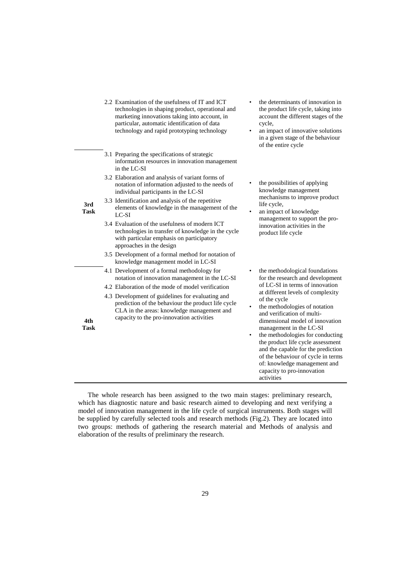|                    | 2.2 Examination of the usefulness of IT and ICT<br>technologies in shaping product, operational and<br>marketing innovations taking into account, in<br>particular, automatic identification of data<br>technology and rapid prototyping technology                                                                                                                                                                                                                                                                                                                                                                                                           | the determinants of innovation in<br>the product life cycle, taking into<br>account the different stages of the<br>cycle,<br>an impact of innovative solutions<br>$\bullet$<br>in a given stage of the behaviour<br>of the entire cycle                                                                                                                                                                                                                                                                                                                 |
|--------------------|---------------------------------------------------------------------------------------------------------------------------------------------------------------------------------------------------------------------------------------------------------------------------------------------------------------------------------------------------------------------------------------------------------------------------------------------------------------------------------------------------------------------------------------------------------------------------------------------------------------------------------------------------------------|---------------------------------------------------------------------------------------------------------------------------------------------------------------------------------------------------------------------------------------------------------------------------------------------------------------------------------------------------------------------------------------------------------------------------------------------------------------------------------------------------------------------------------------------------------|
| 3rd<br><b>Task</b> | 3.1 Preparing the specifications of strategic<br>information resources in innovation management<br>in the LC-SI<br>3.2 Elaboration and analysis of variant forms of<br>notation of information adjusted to the needs of<br>individual participants in the LC-SI<br>3.3 Identification and analysis of the repetitive<br>elements of knowledge in the management of the<br>LC-SI<br>3.4 Evaluation of the usefulness of modern ICT<br>technologies in transfer of knowledge in the cycle<br>with particular emphasis on participatory<br>approaches in the design<br>3.5 Development of a formal method for notation of<br>knowledge management model in LC-SI | the possibilities of applying<br>knowledge management<br>mechanisms to improve product<br>life cycle,<br>an impact of knowledge<br>management to support the pro-<br>innovation activities in the<br>product life cycle                                                                                                                                                                                                                                                                                                                                 |
| 4th<br><b>Task</b> | 4.1 Development of a formal methodology for<br>notation of innovation management in the LC-SI<br>4.2 Elaboration of the mode of model verification<br>4.3 Development of guidelines for evaluating and<br>prediction of the behaviour the product life cycle<br>CLA in the areas: knowledge management and<br>capacity to the pro-innovation activities                                                                                                                                                                                                                                                                                                       | the methodological foundations<br>$\bullet$<br>for the research and development<br>of LC-SI in terms of innovation<br>at different levels of complexity<br>of the cycle<br>the methodologies of notation<br>$\bullet$<br>and verification of multi-<br>dimensional model of innovation<br>management in the LC-SI<br>the methodologies for conducting<br>٠<br>the product life cycle assessment<br>and the capable for the prediction<br>of the behaviour of cycle in terms<br>of: knowledge management and<br>capacity to pro-innovation<br>activities |

The whole research has been assigned to the two main stages: preliminary research, which has diagnostic nature and basic research aimed to developing and next verifying a model of innovation management in the life cycle of surgical instruments. Both stages will be supplied by carefully selected tools and research methods (Fig.2). They are located into two groups: methods of gathering the research material and Methods of analysis and elaboration of the results of preliminary the research.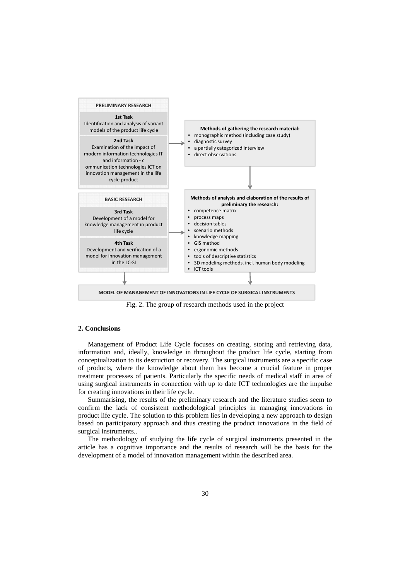

Fig. 2. The group of research methods used in the project

# **2. Conclusions**

Management of Product Life Cycle focuses on creating, storing and retrieving data, information and, ideally, knowledge in throughout the product life cycle, starting from conceptualization to its destruction or recovery. The surgical instruments are a specific case of products, where the knowledge about them has become a crucial feature in proper treatment processes of patients. Particularly the specific needs of medical staff in area of using surgical instruments in connection with up to date ICT technologies are the impulse for creating innovations in their life cycle.

Summarising, the results of the preliminary research and the literature studies seem to confirm the lack of consistent methodological principles in managing innovations in product life cycle. The solution to this problem lies in developing a new approach to design based on participatory approach and thus creating the product innovations in the field of surgical instruments..

The methodology of studying the life cycle of surgical instruments presented in the article has a cognitive importance and the results of research will be the basis for the development of a model of innovation management within the described area.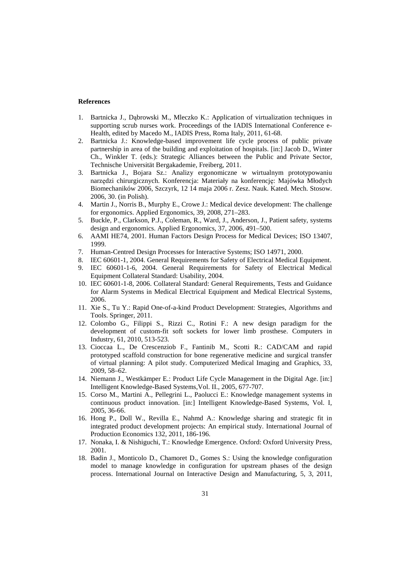### **References**

- 1. Bartnicka J., Dąbrowski M., Mleczko K.: Application of virtualization techniques in supporting scrub nurses work. Proceedings of the IADIS International Conference e-Health, edited by Macedo M., IADIS Press, Roma Italy, 2011, 61-68.
- 2. Bartnicka J.: Knowledge-based improvement life cycle process of public private partnership in area of the building and exploitation of hospitals. [in:] Jacob D., Winter Ch., Winkler T. (eds.): Strategic Alliances between the Public and Private Sector, Technische Universität Bergakademie, Freiberg, 2011.
- 3. Bartnicka J., Bojara Sz.: Analizy ergonomiczne w wirtualnym prototypowaniu narzędzi chirurgicznych. Konferencja: Materiały na konferencję: Majówka Młodych Biomechaników 2006, Szczyrk, 12 14 maja 2006 r. Zesz. Nauk. Kated. Mech. Stosow. 2006, 30. (in Polish).
- 4. Martin J., Norris B., Murphy E., Crowe J.: Medical device development: The challenge for ergonomics. Applied Ergonomics, 39, 2008, 271–283.
- 5. Buckle, P., Clarkson, P.J., Coleman, R., Ward, J., Anderson, J., Patient safety, systems design and ergonomics. Applied Ergonomics, 37, 2006, 491–500.
- 6. AAMI HE74, 2001. Human Factors Design Process for Medical Devices; ISO 13407, 1999.
- 7. Human-Centred Design Processes for Interactive Systems; ISO 14971, 2000.
- 8. IEC 60601-1, 2004. General Requirements for Safety of Electrical Medical Equipment.
- 9. IEC 60601-1-6, 2004. General Requirements for Safety of Electrical Medical Equipment Collateral Standard: Usability, 2004.
- 10. IEC 60601-1-8, 2006. Collateral Standard: General Requirements, Tests and Guidance for Alarm Systems in Medical Electrical Equipment and Medical Electrical Systems, 2006.
- 11. Xie S., Tu Y.: Rapid One-of-a-kind Product Development: Strategies, Algorithms and Tools. Springer, 2011.
- 12. Colombo G., Filippi S., Rizzi C., Rotini F.: A new design paradigm for the development of custom-fit soft sockets for lower limb prosthese. Computers in Industry, 61, 2010, 513-523.
- 13. Cioccaa L., De Crescenziob F., Fantinib M., Scotti R.: CAD/CAM and rapid prototyped scaffold construction for bone regenerative medicine and surgical transfer of virtual planning: A pilot study. Computerized Medical Imaging and Graphics, 33, 2009, 58–62.
- 14. Niemann J., Westkämper E.: Product Life Cycle Management in the Digital Age. [in:] Intelligent Knowledge-Based Systems,Vol. II., 2005, 677-707.
- 15. Corso M., Martini A., Pellegrini L., Paolucci E.: Knowledge management systems in continuous product innovation. [in:] Intelligent Knowledge-Based Systems, Vol. I, 2005, 36-66.
- 16. Hong P., Doll W., Revilla E., Nahmd A.: Knowledge sharing and strategic fit in integrated product development projects: An empirical study. International Journal of Production Economics 132, 2011, 186-196.
- 17. Nonaka, I. & Nishiguchi, T.: Knowledge Emergence. Oxford: Oxford University Press, 2001.
- 18. Badin J., Monticolo D., Chamoret D., Gomes S.: Using the knowledge configuration model to manage knowledge in configuration for upstream phases of the design process. International Journal on Interactive Design and Manufacturing, 5, 3, 2011,